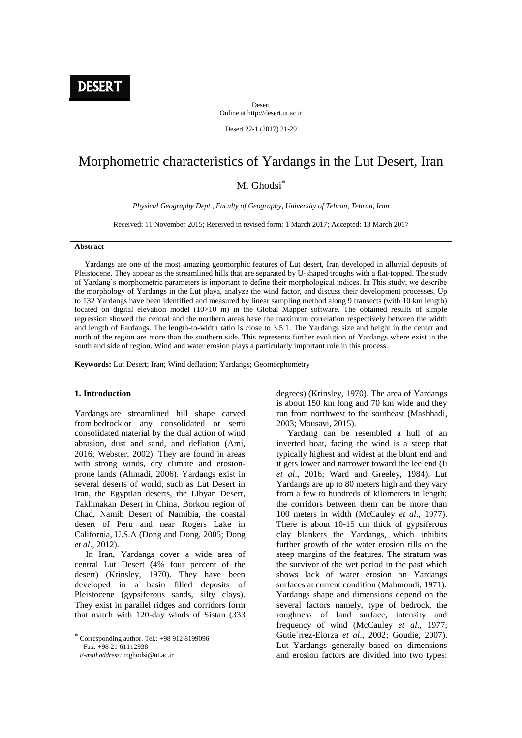**DESERT** 

Desert Online at http://desert.ut.ac.ir

Desert 22-1 (2017) 21-29

# Morphometric characteristics of Yardangs in the Lut Desert, Iran

# M. Ghodsi\*

*Physical Geography Dept., Faculty of Geography, University of Tehran, Tehran, Iran*

Received: 11 November 2015; Received in revised form: 1 March 2017; Accepted: 13 March 2017

#### **Abstract**

 Yardangs are one of the most amazing geomorphic features of Lut desert, Iran developed in alluvial deposits of Pleistocene. They appear as the streamlined hills that are separated by U-shaped troughs with a flat-topped. The study of Yardang's morphometric parameters is important to define their morphological indices. In This study, we describe the morphology of Yardangs in the Lut playa, analyze the wind factor, and discuss their development processes. Up to 132 Yardangs have been identified and measured by linear sampling method along 9 transects (with 10 km length) located on digital elevation model  $(10\times10 \text{ m})$  in the Global Mapper software. The obtained results of simple regression showed the central and the northern areas have the maximum correlation respectively between the width and length of Fardangs. The length-to-width ratio is close to 3.5:1. The Yardangs size and height in the center and north of the region are more than the southern side. This represents further evolution of Yardangs where exist in the south and side of region. Wind and water erosion plays a particularly important role in this process.

**Keywords:** Lut Desert; Iran; Wind deflation; Yardangs; Geomorphometry

#### **1. Introduction**

Yardangs are streamlined hill shape carved from bedrock or any consolidated or semi consolidated material by the dual action of wind abrasion, dust and sand, and deflation (Ami, 2016; Webster, 2002). They are found in areas with strong winds, dry climate and erosionprone lands (Ahmadi, 2006). Yardangs exist in several deserts of world, such as Lut Desert in Iran, the Egyptian deserts, the Libyan Desert, Taklimakan Desert in China, Borkou region of Chad, Namib Desert of Namibia, the coastal desert of Peru and near Rogers Lake in California, U.S.A (Dong and Dong, 2005; Dong *et al*., 2012).

 In Iran, Yardangs cover a wide area of central Lut Desert (4% four percent of the desert) (Krinsley, 1970). They have been developed in a basin filled deposits of Pleistocene (gypsiferous sands, silty clays). They exist in parallel ridges and corridors form that match with 120-day winds of Sistan (333

Fax: +98 21 61112938

degrees) (Krinsley, 1970). The area of Yardangs is about 150 km long and 70 km wide and they run from northwest to the southeast (Mashhadi, 2003; Mousavi, 2015).

 Yardang can be resembled a hull of an inverted boat, facing the wind is a steep that typically highest and widest at the blunt end and it gets lower and narrower toward the lee end (li *et al*., 2016; Ward and Greeley, 1984). Lut Yardangs are up to 80 meters high and they vary from a few to hundreds of kilometers in length; the corridors between them can be more than 100 meters in width (McCauley *et al*., 1977). There is about 10-15 cm thick of gypsiferous clay blankets the Yardangs, which inhibits further growth of the water erosion rills on the steep margins of the features. The stratum was the survivor of the wet period in the past which shows lack of water erosion on Yardangs surfaces at current condition (Mahmoudi, 1971). Yardangs shape and dimensions depend on the several factors namely, type of bedrock, the roughness of land surface, intensity and frequency of wind (McCauley *et al*., 1977; Gutie´rrez-Elorza *et al*., 2002; Goudie, 2007). Lut Yardangs generally based on dimensions and erosion factors are divided into two types:

Corresponding author. Tel.: +98 912 <sup>8199096</sup>

*E-mail address:* mghodsi@ut.ac.ir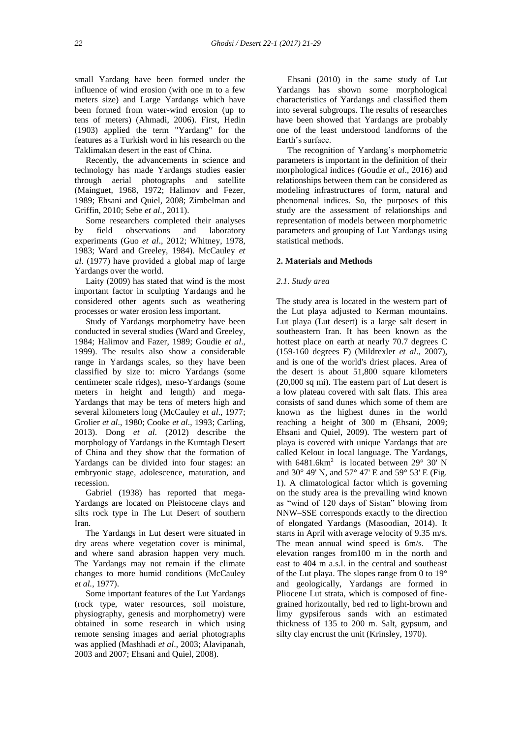small Yardang have been formed under the influence of wind erosion (with one m to a few meters size) and Large Yardangs which have been formed from water-wind erosion (up to tens of meters) (Ahmadi, 2006). First, Hedin (1903) applied the term "Yardang" for the features as a Turkish word in his research on the Taklimakan desert in the east of China.

 Recently, the advancements in science and technology has made Yardangs studies easier through aerial photographs and satellite (Mainguet, 1968, 1972; Halimov and Fezer, 1989; Ehsani and Quiel, 2008; Zimbelman and Griffin, 2010; Sebe *et al*., 2011).

 Some researchers completed their analyses by field observations and laboratory experiments (Guo *et al*., 2012; Whitney, 1978, 1983; Ward and Greeley, 1984). McCauley *et al*. (1977) have provided a global map of large Yardangs over the world.

 Laity (2009) has stated that wind is the most important factor in sculpting Yardangs and he considered other agents such as weathering processes or water erosion less important.

 Study of Yardangs morphometry have been conducted in several studies (Ward and Greeley, 1984; Halimov and Fazer, 1989; Goudie *et al*., 1999). The results also show a considerable range in Yardangs scales, so they have been classified by size to: micro Yardangs (some centimeter scale ridges), meso-Yardangs (some meters in height and length) and mega-Yardangs that may be tens of meters high and several kilometers long (McCauley *et al*., 1977; Grolier *et al*., 1980; Cooke *et al*., 1993; Carling, 2013). Dong *et al*. (2012) describe the morphology of Yardangs in the Kumtagh Desert of China and they show that the formation of Yardangs can be divided into four stages: an embryonic stage, adolescence, maturation, and recession.

 Gabriel (1938) has reported that mega-Yardangs are located on Pleistocene clays and silts rock type in The Lut Desert of southern Iran.

 The Yardangs in Lut desert were situated in dry areas where vegetation cover is minimal, and where sand abrasion happen very much. The Yardangs may not remain if the climate changes to more humid conditions (McCauley *et al.*, 1977).

 Some important features of the Lut Yardangs (rock type, water resources, soil moisture, physiography, genesis and morphometry) were obtained in some research in which using remote sensing images and aerial photographs was applied (Mashhadi *et al*., 2003; Alavipanah, 2003 and 2007; Ehsani and Quiel, 2008).

 Ehsani (2010) in the same study of Lut Yardangs has shown some morphological characteristics of Yardangs and classified them into several subgroups. The results of researches have been showed that Yardangs are probably one of the least understood landforms of the Earth's surface.

 The recognition of Yardang's morphometric parameters is important in the definition of their morphological indices (Goudie *et al*., 2016) and relationships between them can be considered as modeling infrastructures of form, natural and phenomenal indices. So, the purposes of this study are the assessment of relationships and representation of models between morphometric parameters and grouping of Lut Yardangs using statistical methods.

### **2. Materials and Methods**

#### *2.1. Study area*

The study area is located in the western part of the Lut playa adjusted to Kerman mountains. Lut playa (Lut desert) is a large salt desert in southeastern Iran. It has been known as the hottest place on earth at nearly 70.7 degrees C (159-160 degrees F) (Mildrexler *et al*., 2007), and is one of the world's driest places. Area of the desert is about 51,800 square kilometers (20,000 sq mi). The eastern part of Lut desert is a low plateau covered with salt flats. This area consists of sand dunes which some of them are known as the highest dunes in the world reaching a height of 300 m (Ehsani, 2009; Ehsani and Quiel, 2009). The western part of playa is covered with unique Yardangs that are called Kelout in local language. The Yardangs, with  $6481.6 \text{km}^2$  is located between  $29^{\circ}$  30' N and 30° 49' N, and 57° 47' E and 59° 53' E (Fig. 1). A climatological factor which is governing on the study area is the prevailing wind known as "wind of 120 days of Sistan" blowing from NNW–SSE corresponds exactly to the direction of elongated Yardangs (Masoodian, 2014). It starts in April with average velocity of 9.35 m/s. The mean annual wind speed is 6m/s. The elevation ranges from100 m in the north and east to 404 m a.s.l. in the central and southeast of the Lut playa. The slopes range from 0 to  $19^{\circ}$ and geologically, Yardangs are formed in Pliocene Lut strata, which is composed of finegrained horizontally, bed red to light-brown and limy gypsiferous sands with an estimated thickness of 135 to 200 m. Salt, gypsum, and silty clay encrust the unit (Krinsley, 1970).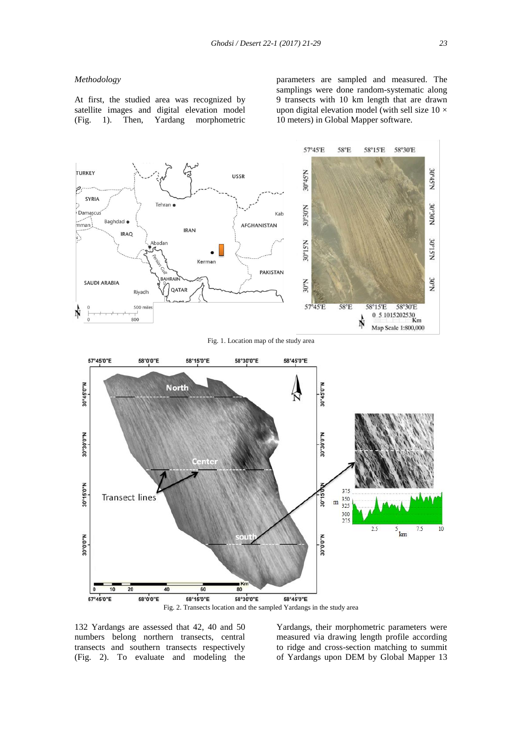#### *Methodology*

At first, the studied area was recognized by satellite images and digital elevation model (Fig. 1). Then, Yardang morphometric

parameters are sampled and measured. The samplings were done random-systematic along 9 transects with 10 km length that are drawn upon digital elevation model (with sell size  $10 \times$ 10 meters) in Global Mapper software.



132 Yardangs are assessed that 42, 40 and 50 numbers belong northern transects, central transects and southern transects respectively (Fig. 2). To evaluate and modeling the

Yardangs, their morphometric parameters were measured via drawing length profile according to ridge and cross-section matching to summit of Yardangs upon DEM by Global Mapper 13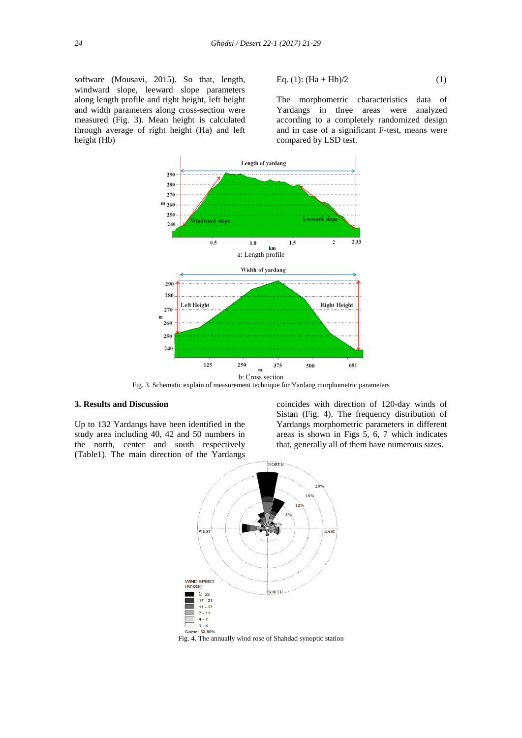software (Mousavi, 2015). So that, length, windward slope, leeward slope parameters along length profile and right height, left height and width parameters along cross-section were measured (Fig. 3). Mean height is calculated through average of right height (Ha) and left height (Hb)

Eq. (1): 
$$
(Ha + Hb)/2
$$
 (1)

The morphometric characteristics data of Yardangs in three areas were analyzed according to a completely randomized design and in case of a significant F-test, means were compared by LSD test.



Fig. 3. Schematic explain of measurement technique for Yardang morphometric parameters

## **3. Results and Discussion**

Up to 132 Yardangs have been identified in the study area including 40, 42 and 50 numbers in the north, center and south respectively (Table1). The main direction of the Yardangs coincides with direction of 120-day winds of Sistan (Fig. 4). The frequency distribution of Yardangs morphometric parameters in different areas is shown in Figs 5, 6, 7 which indicates that, generally all of them have numerous sizes.



Fig. 4. The annually wind rose of Shahdad synoptic station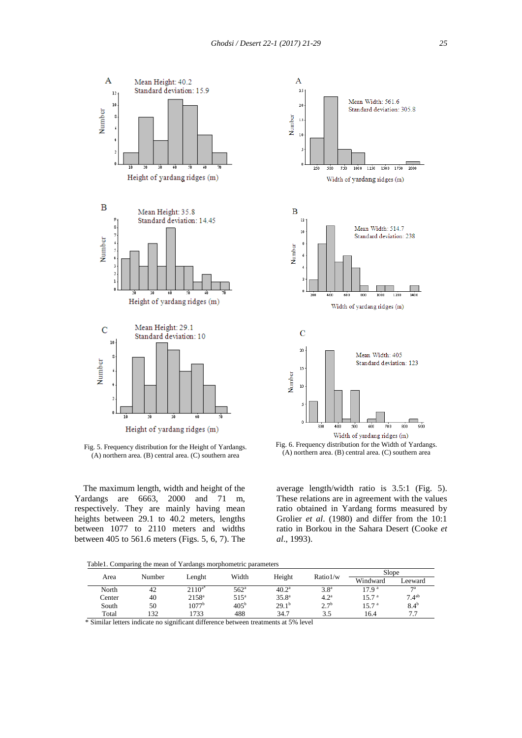



 The maximum length, width and height of the Yardangs are 6663, 2000 and 71 m, respectively. They are mainly having mean heights between 29.1 to 40.2 meters, lengths between 1077 to 2110 meters and widths between 405 to 561.6 meters (Figs. 5, 6, 7). The



average length/width ratio is 3.5:1 (Fig. 5). These relations are in agreement with the values ratio obtained in Yardang forms measured by Grolier *et al*. (1980) and differ from the 10:1 ratio in Borkou in the Sahara Desert (Cooke *et al*., 1993).

Table1. Comparing the mean of Yardangs morphometric parameters

|        | Number | Lenght            | Width            | Height            | Ratio 1/w        | Slope             |                   |
|--------|--------|-------------------|------------------|-------------------|------------------|-------------------|-------------------|
| Area   |        |                   |                  |                   |                  | Windward          | Leeward           |
| North  | 42     | $2110^{a*}$       | 562 <sup>a</sup> | $40.2^{\rm a}$    | 3.8 <sup>a</sup> | 17.9 <sup>a</sup> | 7a                |
| Center | 40     | $2158^{\rm a}$    | 515 <sup>a</sup> | 35.8 <sup>a</sup> | 4.2 <sup>a</sup> | 15.7 <sup>a</sup> | 7.4 <sup>ab</sup> |
| South  | 50     | 1077 <sup>b</sup> | 405 <sup>b</sup> | 29.1 <sup>b</sup> | $2.7^{b}$        | 15.7 <sup>a</sup> | 8.4 <sup>b</sup>  |
| Total  | 132    | 1733              | 488              | 34.7              | 3.5              | 16.4              | 7.7               |

\* Similar letters indicate no significant difference between treatments at 5% level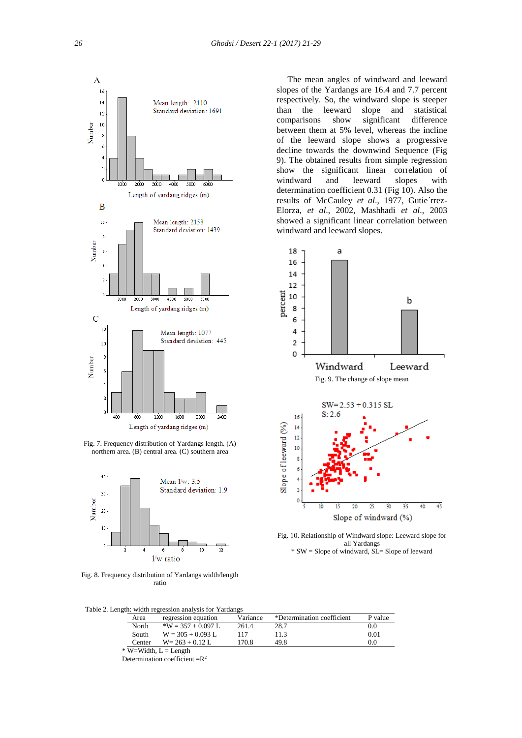

Fig. 7. Frequency distribution of Yardangs length. (A) northern area. (B) central area. (C) southern area



Fig. 8. Frequency distribution of Yardangs width/length ratio

 The mean angles of windward and leeward slopes of the Yardangs are 16.4 and 7.7 percent respectively. So, the windward slope is steeper than the leeward slope and statistical comparisons show significant difference between them at 5% level, whereas the incline of the leeward slope shows a progressive decline towards the downwind Sequence (Fig 9). The obtained results from simple regression show the significant linear correlation of windward and leeward slopes with determination coefficient 0.31 (Fig 10). Also the results of McCauley *et al*., 1977, Gutie´rrez-Elorza, *et al*., 2002, Mashhadi *et al*., 2003 showed a significant linear correlation between windward and leeward slopes.



Fig. 10. Relationship of Windward slope: Leeward slope for all Yardangs \* SW = Slope of windward, SL= Slope of leeward

| Table 2. Length: width regression analysis for Yardangs |
|---------------------------------------------------------|
|---------------------------------------------------------|

| Area   | regression equation   | Variance | *Determination coefficient | P value |
|--------|-----------------------|----------|----------------------------|---------|
| North  | $*W = 357 + 0.097$ L. | 261.4    | 28.7                       | 0.0     |
| South  | $W = 305 + 0.093$ L   | 117      | 11.3                       | 0.01    |
| Center | $W = 263 + 0.12$ L    | 170.8    | 49.8                       | 0.0     |
|        |                       |          |                            |         |

 $*$  W=Width,  $L =$  Length

Determination coefficient  $=R^2$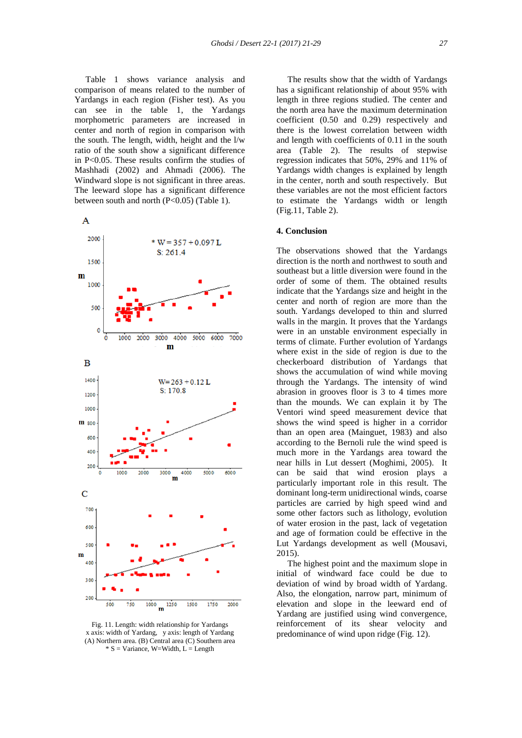Table 1 shows variance analysis and comparison of means related to the number of Yardangs in each region (Fisher test). As you can see in the table 1, the Yardangs morphometric parameters are increased in center and north of region in comparison with the south. The length, width, height and the l/w ratio of the south show a significant difference in P<0.05. These results confirm the studies of Mashhadi (2002) and Ahmadi (2006). The Windward slope is not significant in three areas. The leeward slope has a significant difference between south and north (P<0.05) (Table 1).



Fig. 11. Length: width relationship for Yardangs x axis: width of Yardang, y axis: length of Yardang (A) Northern area. (B) Central area (C) Southern area  $* S = Variance$ , W=Width, L = Length

 The results show that the width of Yardangs has a significant relationship of about 95% with length in three regions studied. The center and the north area have the maximum determination coefficient (0.50 and 0.29) respectively and there is the lowest correlation between width and length with coefficients of 0.11 in the south area (Table 2). The results of stepwise regression indicates that 50%, 29% and 11% of Yardangs width changes is explained by length in the center, north and south respectively. But these variables are not the most efficient factors to estimate the Yardangs width or length (Fig.11, Table 2).

#### **4. Conclusion**

The observations showed that the Yardangs direction is the north and northwest to south and southeast but a little diversion were found in the order of some of them. The obtained results indicate that the Yardangs size and height in the center and north of region are more than the south. Yardangs developed to thin and slurred walls in the margin. It proves that the Yardangs were in an unstable environment especially in terms of climate. Further evolution of Yardangs where exist in the side of region is due to the checkerboard distribution of Yardangs that shows the accumulation of wind while moving through the Yardangs. The intensity of wind abrasion in grooves floor is 3 to 4 times more than the mounds. We can explain it by The Ventori wind speed measurement device that shows the wind speed is higher in a corridor than an open area (Mainguet, 1983) and also according to the Bernoli rule the wind speed is much more in the Yardangs area toward the near hills in Lut dessert (Moghimi, 2005). It can be said that wind erosion plays a particularly important role in this result. The dominant long-term unidirectional winds, coarse particles are carried by high speed wind and some other factors such as lithology, evolution of water erosion in the past, lack of vegetation and age of formation could be effective in the Lut Yardangs development as well (Mousavi, 2015).

 The highest point and the maximum slope in initial of windward face could be due to deviation of wind by broad width of Yardang. Also, the elongation, narrow part, minimum of elevation and slope in the leeward end of Yardang are justified using wind convergence, reinforcement of its shear velocity and predominance of wind upon ridge (Fig. 12).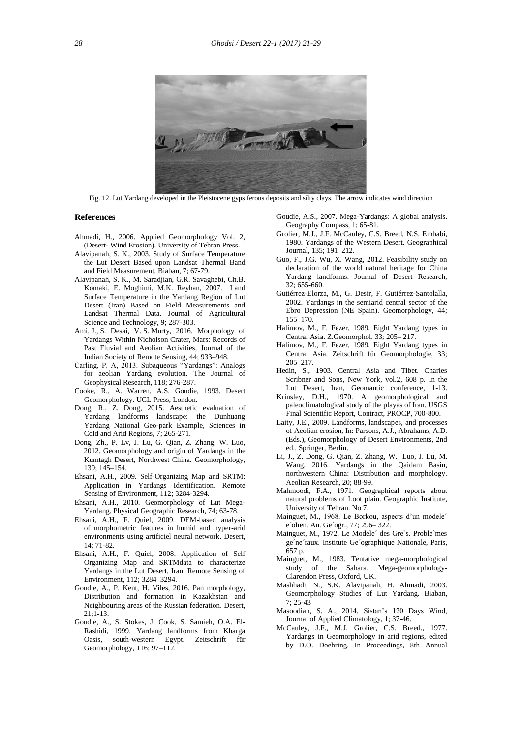

Fig. 12. Lut Yardang developed in the Pleistocene gypsiferous deposits and silty clays. The arrow indicates wind direction

#### **References**

- Ahmadi, H., 2006. Applied Geomorphology Vol. 2, (Desert- Wind Erosion). University of Tehran Press.
- Alavipanah, S. K., 2003. Study of Surface Temperature the Lut Desert Based upon Landsat Thermal Band and Field Measurement. Biaban, 7; 67-79.
- Alavipanah, S. K., M. Saradjian, G.R. Savaghebi, Ch.B. Komaki, E. Moghimi, M.K. Reyhan, 2007. Land Surface Temperature in the Yardang Region of Lut Desert (Iran) Based on Field Measurements and Landsat Thermal Data. Journal of Agricultural Science and Technology, 9; 287-303.
- Ami, J., S. Desai, V. S. Murty, 2016. Morphology of Yardangs Within Nicholson Crater, Mars: Records of Past Fluvial and Aeolian Activities, Journal of the Indian Society of Remote Sensing, 44; 933–948.
- Carling, P. A, 2013. Subaqueous "Yardangs": Analogs for aeolian Yardang evolution. The Journal of Geophysical Research, 118; 276-287.
- Cooke, R., A. Warren, A.S. Goudie, 1993. Desert Geomorphology. UCL Press, London.
- Dong, R., Z. Dong, 2015. Aesthetic evaluation of Yardang landforms landscape: the Dunhuang Yardang National Geo-park Example, Sciences in Cold and Arid Regions, 7; 265-271.
- Dong, Zh., P. Lv, J. Lu, G. Qian, Z. Zhang, W. Luo, 2012. Geomorphology and origin of Yardangs in the Kumtagh Desert, Northwest China. Geomorphology, 139; 145–154.
- Ehsani, A.H., 2009. Self-Organizing Map and SRTM: Application in Yardangs Identification. Remote Sensing of Environment, 112; 3284-3294.
- Ehsani, A.H., 2010. Geomorphology of Lut Mega- Yardang. Physical Geographic Research, 74; 63-78.
- Ehsani, A.H., F. Quiel, 2009. DEM-based analysis of morphometric features in humid and hyper-arid environments using artificiel neural network. Desert, 14; 71-82.
- Ehsani, A.H., F. Quiel, 2008. Application of Self Organizing Map and SRTMdata to characterize Yardangs in the Lut Desert, Iran. Remote Sensing of Environment, 112; 3284–3294.
- Goudie, A., P. Kent, H. Viles, 2016. Pan morphology, Distribution and formation in Kazakhstan and Neighbouring areas of the Russian federation. Desert, 21;1-13.
- Goudie, A., S. Stokes, J. Cook, S. Samieh, O.A. El- Rashidi, 1999. Yardang landforms from Kharga Oasis, south-western Egypt. Zeitschrift für Geomorphology, 116; 97–112.
- Goudie, A.S., 2007. Mega-Yardangs: A global analysis. Geography Compass, 1; 65-81.
- Grolier, M.J., J.F. McCauley, C.S. Breed, N.S. Embabi, 1980. Yardangs of the Western Desert. Geographical Journal, 135; 191–212.
- Guo, F., J.G. Wu, X. Wang, 2012. Feasibility study on declaration of the world natural heritage for China Yardang landforms. Journal of Desert Research, 32; 655-660.
- Gutiérrez-Elorza, M., G. Desir, F. Gutiérrez-Santolalla, 2002. Yardangs in the semiarid central sector of the Ebro Depression (NE Spain). Geomorphology, 44; 155–170.
- Halimov, M., F. Fezer, 1989. Eight Yardang types in Central Asia. Z.Geomorphol. 33; 205– 217.
- Halimov, M., F. Fezer, 1989. Eight Yardang types in Central Asia. Zeitschrift für Geomorphologie, 33; 205–217.
- Hedin, S., 1903. Central Asia and Tibet. Charles Scribner and Sons, New York, vol.2, 608 p. In the Lut Desert, Iran, Geomantic conference, 1-13.
- Krinsley, D.H., 1970. A geomorphological and paleoclimatological study of the playas of Iran. USGS Final Scientific Report, Contract, PROCP, 700-800.
- Laity, J.E., 2009. Landforms, landscapes, and processes of Aeolian erosion, In: Parsons, A.J., Abrahams, A.D. (Eds.), Geomorphology of Desert Environments, 2nd ed., Springer, Berlin.
- Li, J., Z. Dong, G. Qian, Z. Zhang, W. Luo, J. Lu, M. Wang, 2016. Yardangs in the Qaidam Basin, northwestern China: Distribution and morphology. Aeolian Research, 20; 88-99.
- Mahmoodi, F.A., 1971. Geographical reports about natural problems of Loot plain. Geographic Institute, University of Tehran. No 7.
- Mainguet, M., 1968. Le Borkou, aspects d'un modele´ e´olien. An. Ge´ogr., 77; 296– 322.
- Mainguet, M., 1972. Le Modele´ des Gre`s. Proble`mes ge´ne´raux. Institute Ge´ographique Nationale, Paris, 657 p.
- Mainguet, M., 1983. Tentative mega-morphological study of the Sahara. Mega-geomorphology- Clarendon Press, Oxford, UK.
- Mashhadi, N., S.K. Alavipanah, H. Ahmadi, 2003. Geomorphology Studies of Lut Yardang. Biaban, 7; 25-43
- Masoodian, S. A., 2014, Sistan's 120 Days Wind, Journal of Applied Climatology, 1; 37-46.
- McCauley, J.F., M.J. Grolier, C.S. Breed., 1977. Yardangs in Geomorphology in arid regions, edited by D.O. Doehring. In Proceedings, 8th Annual